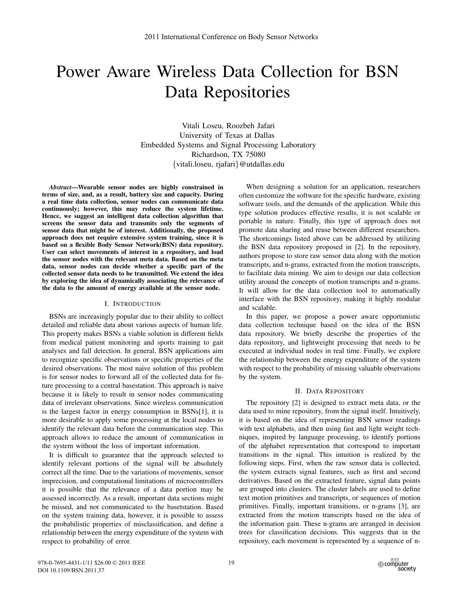# Power Aware Wireless Data Collection for BSN Data Repositories

Vitali Loseu, Roozbeh Jafari University of Texas at Dallas Embedded Systems and Signal Processing Laboratory Richardson, TX 75080 {vitali.loseu, rjafari}@utdallas.edu

*Abstract*—Wearable sensor nodes are highly constrained in terms of size, and, as a result, battery size and capacity. During a real time data collection, sensor nodes can communicate data continuously; however, this may reduce the system lifetime. Hence, we suggest an intelligent data collection algorithm that screens the sensor data and transmits only the segments of sensor data that might be of interest. Additionally, the proposed approach does not require extensive system training, since it is based on a flexible Body Sensor Network(BSN) data repository. User can select movements of interest in a repository, and load the sensor nodes with the relevant meta data. Based on the meta data, sensor nodes can decide whether a specific part of the collected sensor data needs to be transmitted. We extend the idea by exploring the idea of dynamically associating the relevance of the data to the amount of energy available at the sensor node.

#### I. INTRODUCTION

BSNs are increasingly popular due to their ability to collect detailed and reliable data about various aspects of human life. This property makes BSNs a viable solution in different fields from medical patient monitoring and sports training to gait analyses and fall detection. In general, BSN applications aim to recognize specific observations or specific properties of the desired observations. The most naive solution of this problem is for sensor nodes to forward all of the collected data for future processing to a central basestation. This approach is naive because it is likely to result in sensor nodes communicating data of irrelevant observations. Since wireless communication is the largest factor in energy consumption in BSNs[1], it is more desirable to apply some processing at the local nodes to identify the relevant data before the communication step. This approach allows to reduce the amount of communication in the system without the loss of important information.

It is difficult to guarantee that the approach selected to identify relevant portions of the signal will be absolutely correct all the time. Due to the variations of movements, sensor imprecision, and computational limitations of microcontrollers it is possible that the relevance of a data portion may be assessed incorrectly. As a result, important data sections might be missed, and not communicated to the basetstation. Based on the system training data, however, it is possible to assess the probabilistic properties of misclassification, and define a relationship between the energy expenditure of the system with respect to probability of error.

When designing a solution for an application, researchers often customize the software for the specific hardware, existing software tools, and the demands of the application. While this type solution produces effective results, it is not scalable or portable in nature. Finally, this type of approach does not promote data sharing and reuse between different researchers. The shortcomings listed above can be addressed by utilizing the BSN data repository proposed in [2]. In the repository, authors propose to store raw sensor data along with the motion transcripts, and n-grams, extracted from the motion transcripts, to facilitate data mining. We aim to design our data collection utility around the concepts of motion transcripts and n-grams. It will allow for the data collection tool to automatically interface with the BSN repository, making it highly modular and scalable.

In this paper, we propose a power aware opportunistic data collection technique based on the idea of the BSN data repository. We briefly describe the properties of the data repository, and lightweight processing that needs to be executed at individual nodes in real time. Finally, we explore the relationship between the energy expenditure of the system with respect to the probability of missing valuable observations by the system.

### II. DATA REPOSITORY

The repository [2] is designed to extract meta data, or the data used to mine repository, from the signal itself. Intuitively, it is based on the idea of representing BSN sensor readings with text alphabets, and then using fast and light weight techniques, inspired by language processing, to identify portions of the alphabet representation that correspond to important transitions in the signal. This intuition is realized by the following steps. First, when the raw sensor data is collected, the system extracts signal features, such as first and second derivatives. Based on the extracted feature, signal data points are grouped into clusters. The cluster labels are used to define text motion primitives and transcripts, or sequences of motion primitives. Finally, important transitions, or n-grams [3], are extracted from the motion transcripts based on the idea of the information gain. These n-grams are arranged in decision trees for classification decisions. This suggests that in the repository, each movement is represented by a sequence of n-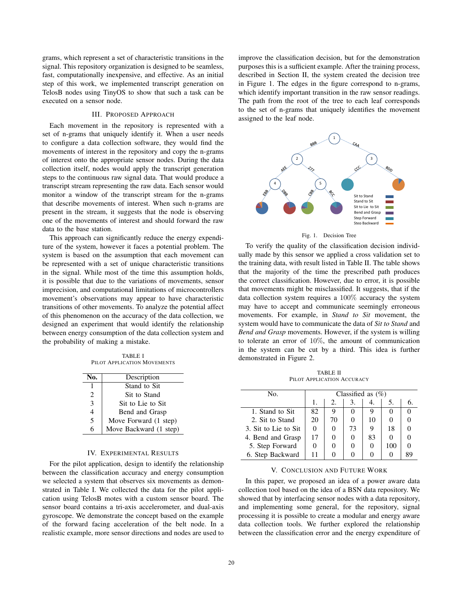grams, which represent a set of characteristic transitions in the signal. This repository organization is designed to be seamless, fast, computationally inexpensive, and effective. As an initial step of this work, we implemented transcript generation on TelosB nodes using TinyOS to show that such a task can be executed on a sensor node.

#### III. PROPOSED APPROACH

Each movement in the repository is represented with a set of n-grams that uniquely identify it. When a user needs to configure a data collection software, they would find the movements of interest in the repository and copy the n-grams of interest onto the appropriate sensor nodes. During the data collection itself, nodes would apply the transcript generation steps to the continuous raw signal data. That would produce a transcript stream representing the raw data. Each sensor would monitor a window of the transcript stream for the n-grams that describe movements of interest. When such n-grams are present in the stream, it suggests that the node is observing one of the movements of interest and should forward the raw data to the base station.

This approach can significantly reduce the energy expenditure of the system, however it faces a potential problem. The system is based on the assumption that each movement can be represented with a set of unique characteristic transitions in the signal. While most of the time this assumption holds, it is possible that due to the variations of movements, sensor imprecision, and computational limitations of microcontrollers movement's observations may appear to have characteristic transitions of other movements. To analyze the potential affect of this phenomenon on the accuracy of the data collection, we designed an experiment that would identify the relationship between energy consumption of the data collection system and the probability of making a mistake.

TABLE I PILOT APPLICATION MOVEMENTS

| No. | Description            |
|-----|------------------------|
|     | Stand to Sit           |
| 2   | Sit to Stand           |
| 3   | Sit to Lie to Sit      |
| 4   | Bend and Grasp         |
| 5   | Move Forward (1 step)  |
| 6   | Move Backward (1 step) |

#### IV. EXPERIMENTAL RESULTS

For the pilot application, design to identify the relationship between the classification accuracy and energy consumption we selected a system that observes six movements as demonstrated in Table I. We collected the data for the pilot application using TelosB motes with a custom sensor board. The sensor board contains a tri-axis accelerometer, and dual-axis gyroscope. We demonstrate the concept based on the example of the forward facing acceleration of the belt node. In a realistic example, more sensor directions and nodes are used to

improve the classification decision, but for the demonstration purposes this is a sufficient example. After the training process, described in Section II, the system created the decision tree in Figure 1. The edges in the figure correspond to n-grams, which identify important transition in the raw sensor readings. The path from the root of the tree to each leaf corresponds to the set of n-grams that uniquely identifies the movement assigned to the leaf node.



Fig. 1. Decision Tree

To verify the quality of the classification decision individually made by this sensor we applied a cross validation set to the training data, with result listed in Table II. The table shows that the majority of the time the prescribed path produces the correct classification. However, due to error, it is possible that movements might be misclassified. It suggests, that if the data collection system requires a 100% accuracy the system may have to accept and communicate seemingly erroneous movements. For example, in *Stand to Sit* movement, the system would have to communicate the data of *Sit to Stand* and *Bend and Grasp* movements. However, if the system is willing to tolerate an error of 10%, the amount of communication in the system can be cut by a third. This idea is further demonstrated in Figure 2.

TABLE II PILOT APPLICATION ACCURACY

| No.                  | Classified as $(\%)$ |    |    |    |     |  |
|----------------------|----------------------|----|----|----|-----|--|
|                      | 1.                   | 2. | 3. |    |     |  |
| 1. Stand to Sit.     | 82                   |    |    |    |     |  |
| 2. Sit to Stand      | 20                   | 70 |    | 10 |     |  |
| 3. Sit to Lie to Sit |                      |    | 73 |    | 18  |  |
| 4. Bend and Grasp    | 17                   |    |    | 83 |     |  |
| 5. Step Forward      |                      |    |    |    | 100 |  |
| 6. Step Backward     |                      |    |    |    |     |  |

## V. CONCLUSION AND FUTURE WORK

In this paper, we proposed an idea of a power aware data collection tool based on the idea of a BSN data repository. We showed that by interfacing sensor nodes with a data repository, and implementing some general, for the repository, signal processing it is possible to create a modular and energy aware data collection tools. We further explored the relationship between the classification error and the energy expenditure of